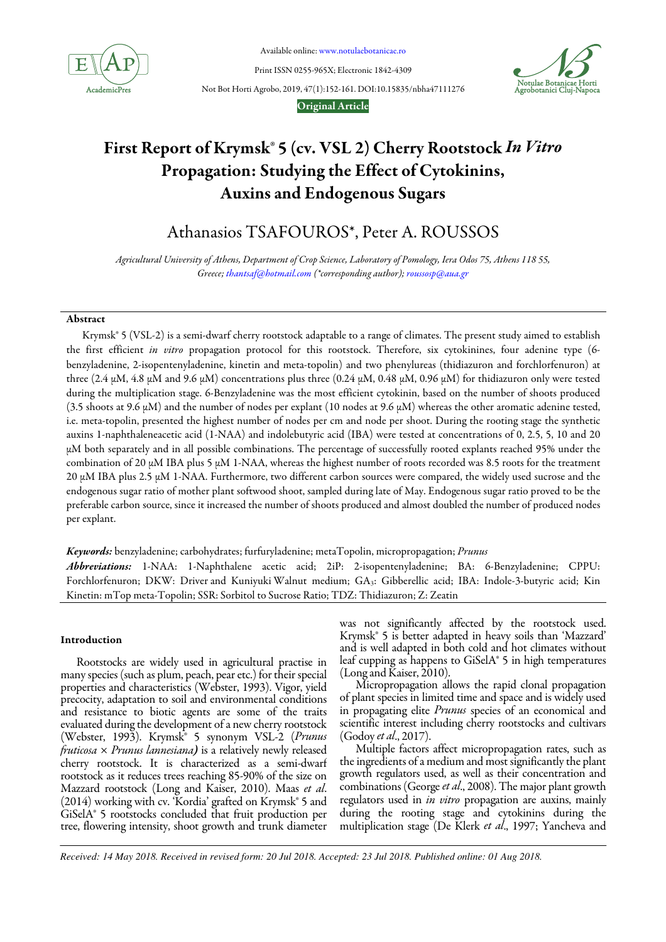

Available online: www.notulaebotanicae.ro

Print ISSN 0255-965X; Electronic 1842-4309



Not Bot Horti Agrobo, 2019, 47(1):152-161. DOI:10.15835/nbha47111276

Original Article

# First Report of Krymsk® 5 (cv. VSL 2) Cherry Rootstock In Vitro Propagation: Studying the Effect of Cytokinins, Auxins and Endogenous Sugars

Athanasios TSAFOUROS\*, Peter A. ROUSSOS

Agricultural University of Athens, Department of Crop Science, Laboratory of Pomology, Iera Odos 75, Athens 118 55, Greece; thantsaf@hotmail.com (\*corresponding author); roussosp@aua.gr

# Abstract

Krymsk® 5 (VSL-2) is a semi-dwarf cherry rootstock adaptable to a range of climates. The present study aimed to establish the first efficient in vitro propagation protocol for this rootstock. Therefore, six cytokinines, four adenine type (6benzyladenine, 2-isopentenyladenine, kinetin and meta-topolin) and two phenylureas (thidiazuron and forchlorfenuron) at three (2.4 μM, 4.8 μM and 9.6 μM) concentrations plus three (0.24 μM, 0.48 μM, 0.96 μM) for thidiazuron only were tested during the multiplication stage. 6-Benzyladenine was the most efficient cytokinin, based on the number of shoots produced (3.5 shoots at 9.6 μΜ) and the number of nodes per explant (10 nodes at 9.6 μΜ) whereas the other aromatic adenine tested, i.e. meta-topolin, presented the highest number of nodes per cm and node per shoot. During the rooting stage the synthetic auxins 1-naphthaleneacetic acid (1-NAA) and indolebutyric acid (IBA) were tested at concentrations of 0, 2.5, 5, 10 and 20 μΜ both separately and in all possible combinations. The percentage of successfully rooted explants reached 95% under the combination of 20 μΜ IBA plus 5 μΜ 1-NAA, whereas the highest number of roots recorded was 8.5 roots for the treatment 20 μΜ ΙΒΑ plus 2.5 μΜ 1-NAA. Furthermore, two different carbon sources were compared, the widely used sucrose and the endogenous sugar ratio of mother plant softwood shoot, sampled during late of May. Endogenous sugar ratio proved to be the preferable carbon source, since it increased the number of shoots produced and almost doubled the number of produced nodes per explant.

Keywords: benzyladenine; carbohydrates; furfuryladenine; metaTopolin, micropropagation; Prunus Abbreviations: 1-NAA: 1-Naphthalene acetic acid; 2iP: 2-isopentenyladenine; BA: 6-Benzyladenine; CPPU: Forchlorfenuron; DKW: Driver and Kuniyuki Walnut medium; GA<sub>3</sub>: Gibberellic acid; IBA: Indole-3-butyric acid; Kin Kinetin: mTop meta-Topolin; SSR: Sorbitol to Sucrose Ratio; TDZ: Thidiazuron; Z: Zeatin

# Introduction

Rootstocks are widely used in agricultural practise in many species (such as plum, peach, pear etc.) for their special properties and characteristics (Webster, 1993). Vigor, yield precocity, adaptation to soil and environmental conditions and resistance to biotic agents are some of the traits evaluated during the development of a new cherry rootstock (Webster, 1993). Krymsk® 5 synonym VSL-2 (Prunus  $fruticosa \times Prunus lannesiana$ ) is a relatively newly released cherry rootstock. It is characterized as a semi-dwarf rootstock as it reduces trees reaching 85-90% of the size on Mazzard rootstock (Long and Kaiser, 2010). Maas et al. (2014) working with cv. 'Kordia' grafted on Krymsk® 5 and GiSelA® 5 rootstocks concluded that fruit production per tree, flowering intensity, shoot growth and trunk diameter was not significantly affected by the rootstock used. Krymsk® 5 is better adapted in heavy soils than 'Mazzard' and is well adapted in both cold and hot climates without leaf cupping as happens to GiSelA® 5 in high temperatures (Long and Kaiser, 2010).

Micropropagation allows the rapid clonal propagation of plant species in limited time and space and is widely used in propagating elite *Prunus* species of an economical and scientific interest including cherry rootstocks and cultivars (Godoy et al., 2017).

Multiple factors affect micropropagation rates, such as the ingredients of a medium and most significantly the plant growth regulators used, as well as their concentration and combinations (George *et al.*, 2008). The major plant growth regulators used in *in vitro* propagation are auxins, mainly during the rooting stage and cytokinins during the multiplication stage (De Klerk et al., 1997; Yancheva and

*Received: 14 May 2018. Received in revised form: 20 Jul 2018. Accepted: 23 Jul 2018. Published online: 01 Aug 2018.*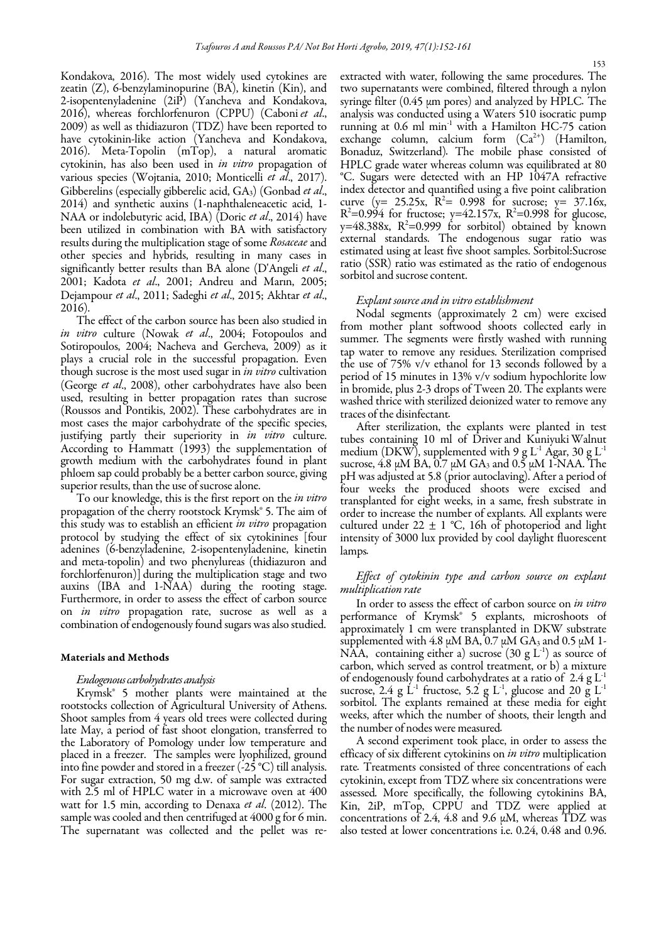Kondakova, 2016). The most widely used cytokines are zeatin (Z), 6-benzylaminopurine (BA), kinetin (Kin), and 2-isopentenyladenine (2iP) (Yancheva and Kondakova, 2016), whereas forchlorfenuron (CPPU) (Caboni et al., 2009) as well as thidiazuron (TDZ) have been reported to have cytokinin-like action (Yancheva and Kondakova, 2016). Meta-Topolin (mTop), a natural aromatic cytokinin, has also been used in in vitro propagation of various species (Wojtania, 2010; Monticelli et al., 2017). Gibberelins (especially gibberelic acid,  $GA_3$ ) (Gonbad *et al.*, 2014) and synthetic auxins (1-naphthaleneacetic acid, 1- NAA or indolebutyric acid, IBA) (Doric et al., 2014) have been utilized in combination with BA with satisfactory results during the multiplication stage of some Rosaceae and other species and hybrids, resulting in many cases in significantly better results than BA alone (D'Angeli et al., 2001; Kadota et al., 2001; Andreu and Marin, 2005; Dejampour et al., 2011; Sadeghi et al., 2015; Akhtar et al., 2016).

The effect of the carbon source has been also studied in in vitro culture (Nowak et al., 2004; Fotopoulos and Sotiropoulos, 2004; Nacheva and Gercheva, 2009) as it plays a crucial role in the successful propagation. Even though sucrose is the most used sugar in *in vitro* cultivation (George et al., 2008), other carbohydrates have also been used, resulting in better propagation rates than sucrose (Roussos and Pontikis, 2002). These carbohydrates are in most cases the major carbohydrate of the specific species, justifying partly their superiority in *in vitro* culture. According to Hammatt (1993) the supplementation of growth medium with the carbohydrates found in plant phloem sap could probably be a better carbon source, giving superior results, than the use of sucrose alone.

To our knowledge, this is the first report on the in vitro propagation of the cherry rootstock Krymsk® 5. The aim of this study was to establish an efficient *in vitro* propagation protocol by studying the effect of six cytokinines [four adenines (6-benzyladenine, 2-isopentenyladenine, kinetin and meta-topolin) and two phenylureas (thidiazuron and forchlorfenuron)] during the multiplication stage and two auxins (IBA and 1-NAA) during the rooting stage. Furthermore, in order to assess the effect of carbon source on *in vitro* propagation rate, sucrose as well as a combination of endogenously found sugars was also studied.

#### Materials and Methods

#### Endogenous carbohydrates analysis

Krymsk® 5 mother plants were maintained at the rootstocks collection of Agricultural University of Athens. Shoot samples from 4 years old trees were collected during late May, a period of fast shoot elongation, transferred to the Laboratory of Pomology under low temperature and placed in a freezer. The samples were lyophilized, ground into fine powder and stored in a freezer (-25 °C) till analysis. For sugar extraction, 50 mg d.w. of sample was extracted with 2.5 ml of HPLC water in a microwave oven at 400 watt for 1.5 min, according to Denaxa et al. (2012). The sample was cooled and then centrifuged at 4000 g for 6 min. The supernatant was collected and the pellet was reextracted with water, following the same procedures. The two supernatants were combined, filtered through a nylon syringe filter (0.45 μm pores) and analyzed by HPLC. The analysis was conducted using a Waters 510 isocratic pump running at  $0.6$  ml min<sup>-1</sup> with a Hamilton HC-75 cation exchange column, calcium form  $(Ca^{2+})$  (Hamilton, Bonaduz, Switzerland). The mobile phase consisted of HPLC grade water whereas column was equilibrated at 80 °C. Sugars were detected with an HP 1047A refractive index detector and quantified using a five point calibration curve  $(y= 25.25x, R^2= 0.998$  for sucrose;  $y= 37.16x$ ,  $R^2 = 0.994$  for fructose; y=42.157x,  $R^2 = 0.998$  for glucose,  $y=48.388x$ ,  $R^2=0.999$  for sorbitol) obtained by known external standards. The endogenous sugar ratio was estimated using at least five shoot samples. Sorbitol:Sucrose ratio (SSR) ratio was estimated as the ratio of endogenous sorbitol and sucrose content.

### Explant source and in vitro establishment

Nodal segments (approximately 2 cm) were excised from mother plant softwood shoots collected early in summer. The segments were firstly washed with running tap water to remove any residues. Sterilization comprised the use of 75% v/v ethanol for 13 seconds followed by a period of 15 minutes in 13% v/v sodium hypochlorite low in bromide, plus 2-3 drops of Tween 20. The explants were washed thrice with sterilized deionized water to remove any traces of the disinfectant.

After sterilization, the explants were planted in test tubes containing 10 ml of Driver and Kuniyuki Walnut medium (DKW), supplemented with 9 g L<sup>-1</sup> Agar, 30 g L<sup>-1</sup> sucrose, 4.8 μM BA, 0.7 μM GA<sub>3</sub> and 0.5 μM 1-NAA. The pH was adjusted at 5.8 (prior autoclaving). After a period of four weeks the produced shoots were excised and transplanted for eight weeks, in a same, fresh substrate in order to increase the number of explants. All explants were cultured under  $22 \pm 1$  °C, 16h of photoperiod and light intensity of 3000 lux provided by cool daylight fluorescent lamps.

# Effect of cytokinin type and carbon source on explant multiplication rate

In order to assess the effect of carbon source on in vitro performance of Krymsk<sup>®</sup> 5 explants, microshoots of approximately 1 cm were transplanted in DKW substrate supplemented with 4.8 μM BA,  $0.7$  μM GA<sub>3</sub> and 0.5 μM 1-NAA, containing either a) sucrose  $(30 \text{ g L}^1)$  as source of carbon, which served as control treatment, or b) a mixture of endogenously found carbohydrates at a ratio of  $2.4$  g  $L^{-1}$ sucrose, 2.4 g  $\dot{L}$ <sup>-1</sup> fructose, 5.2 g L<sup>-1</sup>, glucose and 20 g L<sup>-1</sup> sorbitol. The explants remained at these media for eight weeks, after which the number of shoots, their length and the number of nodes were measured.

A second experiment took place, in order to assess the efficacy of six different cytokinins on in vitro multiplication rate. Treatments consisted of three concentrations of each cytokinin, except from TDZ where six concentrations were assessed. More specifically, the following cytokinins BA, Kin, 2iP, mTop, CPPU and TDZ were applied at concentrations of 2.4, 4.8 and 9.6  $\mu$ M, whereas TDZ was also tested at lower concentrations i.e. 0.24, 0.48 and 0.96.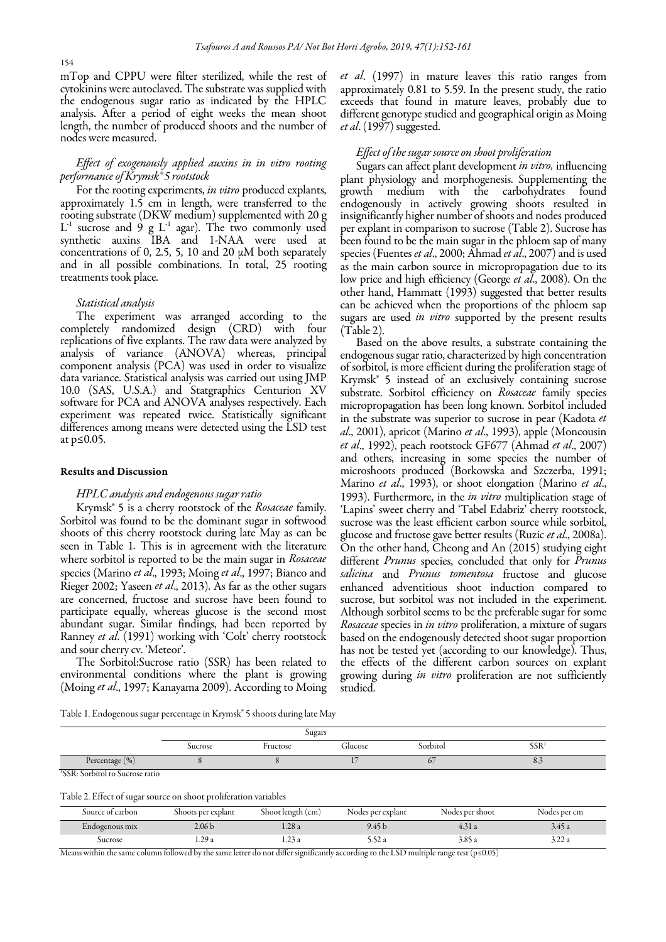mTop and CPPU were filter sterilized, while the rest of cytokinins were autoclaved. The substrate was supplied with the endogenous sugar ratio as indicated by the HPLC analysis. After a period of eight weeks the mean shoot length, the number of produced shoots and the number of nodes were measured.

# Effect of exogenously applied auxins in in vitro rooting performance of Krymsk® 5 rootstock

For the rooting experiments, in vitro produced explants, approximately 1.5 cm in length, were transferred to the rooting substrate (DKW medium) supplemented with 20 g  $L^{-1}$  sucrose and 9 g  $L^{-1}$  agar). The two commonly used synthetic auxins IBA and 1-NAA were used at concentrations of 0, 2.5, 5, 10 and 20  $\mu$ M both separately and in all possible combinations. In total, 25 rooting treatments took place.

#### Statistical analysis

The experiment was arranged according to the completely randomized design (CRD) with four replications of five explants. The raw data were analyzed by analysis of variance (ANOVA) whereas, principal component analysis (PCA) was used in order to visualize data variance. Statistical analysis was carried out using JMP 10.0 (SAS, U.S.A.) and Statgraphics Centurion XV software for PCA and ANOVA analyses respectively. Each experiment was repeated twice. Statistically significant differences among means were detected using the LSD test at p≤0.05.

#### Results and Discussion

## HPLC analysis and endogenous sugar ratio

Krymsk<sup>®</sup> 5 is a cherry rootstock of the Rosaceae family. Sorbitol was found to be the dominant sugar in softwood shoots of this cherry rootstock during late May as can be seen in Table 1. This is in agreement with the literature where sorbitol is reported to be the main sugar in Rosaceae species (Marino et al., 1993; Moing et al., 1997; Bianco and Rieger 2002; Yaseen et al., 2013). As far as the other sugars are concerned, fructose and sucrose have been found to participate equally, whereas glucose is the second most abundant sugar. Similar findings, had been reported by Ranney et al. (1991) working with 'Colt' cherry rootstock and sour cherry cv. 'Meteor'.

The Sorbitol:Sucrose ratio (SSR) has been related to environmental conditions where the plant is growing (Moing et al., 1997; Kanayama 2009). According to Moing et al. (1997) in mature leaves this ratio ranges from approximately 0.81 to 5.59. In the present study, the ratio exceeds that found in mature leaves, probably due to different genotype studied and geographical origin as Moing et al. (1997) suggested.

# Effect of the sugar source on shoot proliferation

Sugars can affect plant development in vitro, influencing plant physiology and morphogenesis. Supplementing the growth medium with the carbohydrates found endogenously in actively growing shoots resulted in insignificantly higher number of shoots and nodes produced per explant in comparison to sucrose (Table 2). Sucrose has been found to be the main sugar in the phloem sap of many species (Fuentes *et al.*, 2000; Ahmad *et al.*, 2007) and is used as the main carbon source in micropropagation due to its low price and high efficiency (George et al., 2008). On the other hand, Hammatt (1993) suggested that better results can be achieved when the proportions of the phloem sap sugars are used in vitro supported by the present results (Table 2).

Based on the above results, a substrate containing the endogenous sugar ratio, characterized by high concentration of sorbitol, is more efficient during the proliferation stage of Krymsk® 5 instead of an exclusively containing sucrose substrate. Sorbitol efficiency on Rosaceae family species micropropagation has been long known. Sorbitol included in the substrate was superior to sucrose in pear (Kadota et al., 2001), apricot (Marino et al., 1993), apple (Moncousin et al., 1992), peach rootstock GF677 (Ahmad et al., 2007) and others, increasing in some species the number of microshoots produced (Borkowska and Szczerba, 1991; Marino et al., 1993), or shoot elongation (Marino et al., 1993). Furthermore, in the *in vitro* multiplication stage of 'Lapins' sweet cherry and 'Tabel Edabriz' cherry rootstock, sucrose was the least efficient carbon source while sorbitol, glucose and fructose gave better results (Ruzic et al., 2008a). On the other hand, Cheong and An (2015) studying eight different *Prunus* species, concluded that only for *Prunus* salicina and Prunus tomentosa fructose and glucose enhanced adventitious shoot induction compared to sucrose, but sorbitol was not included in the experiment. Although sorbitol seems to be the preferable sugar for some Rosaceae species in in vitro proliferation, a mixture of sugars based on the endogenously detected shoot sugar proportion has not be tested yet (according to our knowledge). Thus, the effects of the different carbon sources on explant growing during in vitro proliferation are not sufficiently studied.

Table 1. Endogenous sugar percentage in Krymsk® 5 shoots during late May

|                   |         | Sugars   |               |          |                  |
|-------------------|---------|----------|---------------|----------|------------------|
|                   | Sucrose | Fructose | m.<br>Glucose | Sorbitol | SSR <sup>1</sup> |
| (9 <sub>0</sub> ) |         |          |               | $\sim$   | 0.5              |
|                   |         |          |               |          |                  |

1 SSR: Sorbitol to Sucrose ratio

|  |  |  |  | Table 2. Effect of sugar source on shoot proliferation variables |  |  |  |  |  |
|--|--|--|--|------------------------------------------------------------------|--|--|--|--|--|
|--|--|--|--|------------------------------------------------------------------|--|--|--|--|--|

| Source of carbon | Shoots per explant | Shoot length (cm) | Nodes per explant | Nodes per shoot | Nodes per cm    |
|------------------|--------------------|-------------------|-------------------|-----------------|-----------------|
| Endogenous mix   | 2.06 <sub>b</sub>  | .28a              | 9.45 b            | 4.31 a          | 3.45 a          |
| Sucrose          | 1.29 a             | 1. <i>2.</i> 5 a  | 5. YZ A           | 3.85 a          | ہ <i>ے _د د</i> |

Means within the same column followed by the same letter do not differ significantly according to the LSD multiple range test (p≤0.05)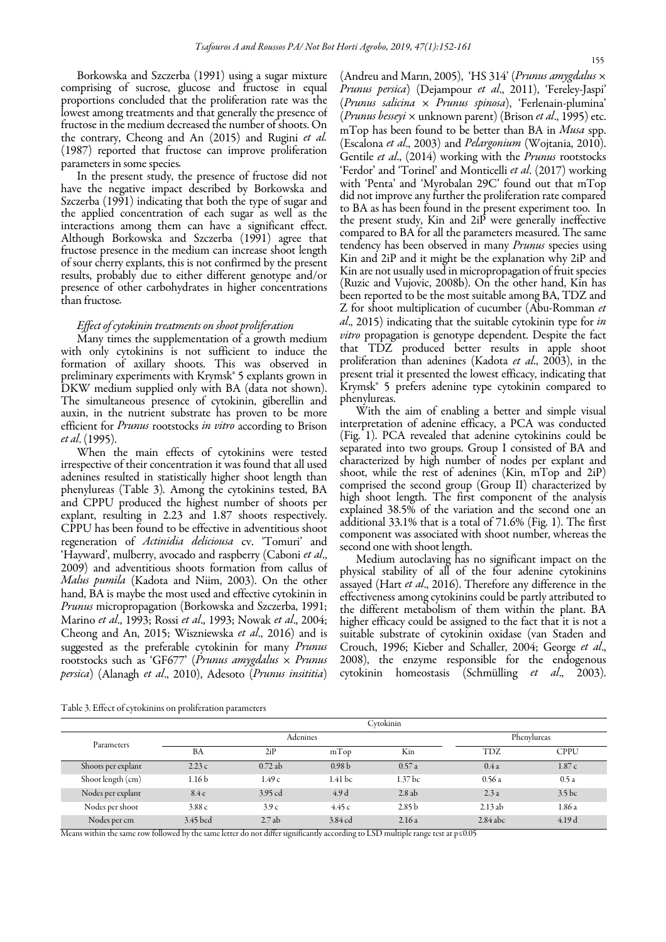Borkowska and Szczerba (1991) using a sugar mixture comprising of sucrose, glucose and fructose in equal proportions concluded that the proliferation rate was the lowest among treatments and that generally the presence of fructose in the medium decreased the number of shoots. On the contrary, Cheong and An (2015) and Rugini et al. (1987) reported that fructose can improve proliferation parameters in some species.

In the present study, the presence of fructose did not have the negative impact described by Borkowska and Szczerba (1991) indicating that both the type of sugar and the applied concentration of each sugar as well as the interactions among them can have a significant effect. Although Borkowska and Szczerba (1991) agree that fructose presence in the medium can increase shoot length of sour cherry explants, this is not confirmed by the present results, probably due to either different genotype and/or presence of other carbohydrates in higher concentrations than fructose.

## Effect of cytokinin treatments on shoot proliferation

Many times the supplementation of a growth medium with only cytokinins is not sufficient to induce the formation of axillary shoots. This was observed in preliminary experiments with Krymsk® 5 explants grown in DKW medium supplied only with BA (data not shown). The simultaneous presence of cytokinin, giberellin and auxin, in the nutrient substrate has proven to be more efficient for *Prunus* rootstocks in vitro according to Brison et al. (1995).

When the main effects of cytokinins were tested irrespective of their concentration it was found that all used adenines resulted in statistically higher shoot length than phenylureas (Table 3). Among the cytokinins tested, BA and CPPU produced the highest number of shoots per explant, resulting in 2.23 and 1.87 shoots respectively. CPPU has been found to be effective in adventitious shoot regeneration of Actinidia deliciousa cv. 'Tomuri' and 'Hayward', mulberry, avocado and raspberry (Caboni et al., 2009) and adventitious shoots formation from callus of Malus pumila (Kadota and Niim, 2003). On the other hand, BA is maybe the most used and effective cytokinin in Prunus micropropagation (Borkowska and Szczerba, 1991; Marino et al., 1993; Rossi et al., 1993; Nowak et al., 2004; Cheong and An, 2015; Wiszniewska et al., 2016) and is suggested as the preferable cytokinin for many Prunus rootstocks such as 'GF677' (Prunus amygdalus  $\times$  Prunus persica) (Alanagh et al., 2010), Adesoto (Prunus insititia) (Andreu and Marin, 2005), 'HS 314' (*Prunus amygdalus*  $\times$ Prunus persica) (Dejampour et al., 2011), 'Fereley-Jaspi' (Prunus salicina × Prunus spinosa), 'Ferlenain-plumina' (Prunus besseyi  $\times$  unknown parent) (Brison et al., 1995) etc. mTop has been found to be better than BA in Musa spp. (Escalona et al., 2003) and *Pelargonium* (Wojtania, 2010). Gentile et al., (2014) working with the *Prunus* rootstocks 'Ferdor' and 'Torinel' and Monticelli et al. (2017) working with 'Penta' and 'Myrobalan 29C' found out that mTop did not improve any further the proliferation rate compared to BA as has been found in the present experiment too. In the present study, Kin and 2iP were generally ineffective compared to BA for all the parameters measured. The same tendency has been observed in many Prunus species using Kin and 2iP and it might be the explanation why 2iP and Kin are not usually used in micropropagation of fruit species (Ruzic and Vujovic, 2008b). On the other hand, Kin has been reported to be the most suitable among BA, TDZ and Z for shoot multiplication of cucumber (Abu-Romman et al., 2015) indicating that the suitable cytokinin type for in vitro propagation is genotype dependent. Despite the fact that TDZ produced better results in apple shoot proliferation than adenines (Kadota et al., 2003), in the present trial it presented the lowest efficacy, indicating that Krymsk® 5 prefers adenine type cytokinin compared to phenylureas.

With the aim of enabling a better and simple visual interpretation of adenine efficacy, a PCA was conducted (Fig. 1). PCA revealed that adenine cytokinins could be separated into two groups. Group I consisted of BA and characterized by high number of nodes per explant and shoot, while the rest of adenines (Kin, mTop and 2iP) comprised the second group (Group II) characterized by high shoot length. The first component of the analysis explained 38.5% of the variation and the second one an additional 33.1% that is a total of 71.6% (Fig. 1). The first component was associated with shoot number, whereas the second one with shoot length.

Medium autoclaving has no significant impact on the physical stability of all of the four adenine cytokinins assayed (Hart et al., 2016). Therefore any difference in the effectiveness among cytokinins could be partly attributed to the different metabolism of them within the plant. BA higher efficacy could be assigned to the fact that it is not a suitable substrate of cytokinin oxidase (van Staden and Crouch, 1996; Kieber and Schaller, 2004; George et al., 2008), the enzyme responsible for the endogenous cytokinin homeostasis (Schmülling et al., 2003).

Table 3. Effect of cytokinins on proliferation parameters

|                    |                   |          |                   | Cytokinin          |            |                   |
|--------------------|-------------------|----------|-------------------|--------------------|------------|-------------------|
| Parameters         |                   | Adenines |                   |                    |            | Phenylureas       |
|                    | BA                | 2iP      | mTop              | Kin                | TDZ        | <b>CPPU</b>       |
| Shoots per explant | 2.23c             | 0.72ab   | 0.98 <sub>b</sub> | 0.57a              | 0.4a       | 1.87c             |
| Shoot length (cm)  | 1.16 <sub>b</sub> | 1.49c    | 1.41 bc           | 1.37 <sub>bc</sub> | 0.56a      | 0.5a              |
| Nodes per explant  | 8.4e              | 3.95 cd  | 4.9d              | 2.8ab              | 2.3a       | 3.5 <sub>bc</sub> |
| Nodes per shoot    | 3.88c             | 3.9c     | 4.45c             | 2.85 <sub>b</sub>  | 2.13ab     | 1.86 a            |
| Nodes per cm       | 3.45 bcd          | 2.7ab    | 3.84 cd           | 2.16a              | $2.84$ abc | 4.19d             |

Means within the same row followed by the same letter do not differ significantly according to LSD multiple range test at p≤0.05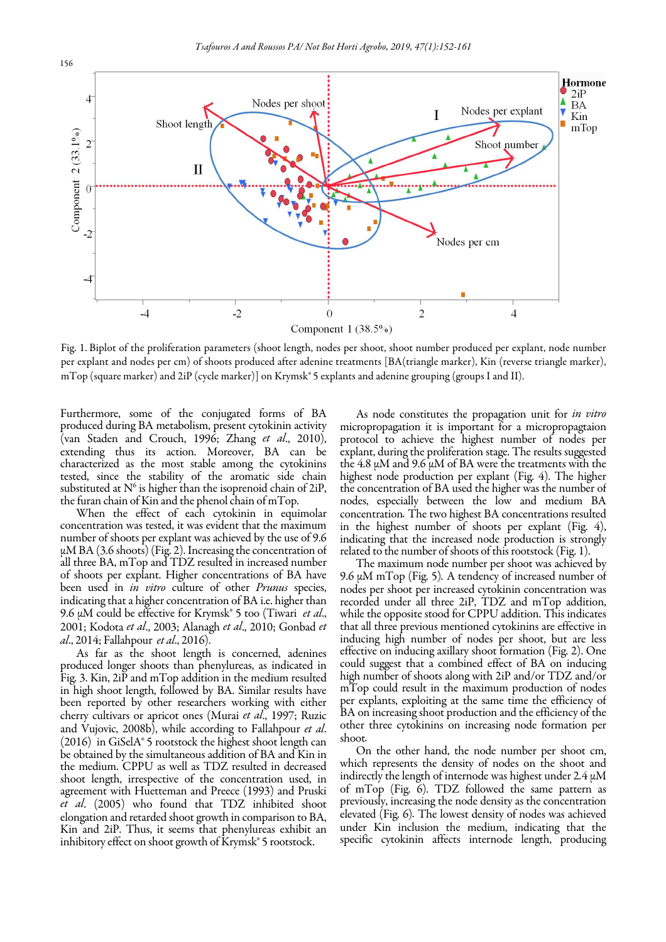

Fig. 1. Biplot of the proliferation parameters (shoot length, nodes per shoot, shoot number produced per explant, node number per explant and nodes per cm) of shoots produced after adenine treatments [BA(triangle marker), Kin (reverse triangle marker), mTop (square marker) and 2iP (cycle marker)] on Krymsk<sup>®</sup> 5 explants and adenine grouping (groups I and II).

Furthermore, some of the conjugated forms of BA produced during BA metabolism, present cytokinin activity (van Staden and Crouch, 1996; Zhang et al., 2010), extending thus its action. Moreover, BA can be characterized as the most stable among the cytokinins tested, since the stability of the aromatic side chain substituted at  $N^6$  is higher than the isoprenoid chain of 2iP, the furan chain of Kin and the phenol chain of mTop.

an three BA, in 1 op and 1 DZ resulted in increased number<br>of shoots per explant. Higher concentrations of BA have When the effect of each cytokinin in equimolar concentration was tested, it was evident that the maximum number of shoots per explant was achieved by the use of 9.6  $\mu$ M BA (3.6 shoots) (Fig. 2). Increasing the concentration of all three BA, mTop and TDZ resulted in increased number been used in in vitro culture of other Prunus species, indicating that a higher concentration of BA i.e. higher than 9.6  $\mu$ M could be effective for Krymsk® 5 too (Tiwari *et al.*, 2001; Kodota et al., 2003; Alanagh et al., 2010; Gonbad et al., 2014; Fallahpour et al., 2016).

As far as the shoot length is concerned, adenines produced longer shoots than phenylureas, as indicated in Fig. 3. Kin, 2iP and mTop addition in the medium resulted in high shoot length, followed by BA. Similar results have been reported by other researchers working with either cherry cultivars or apricot ones (Murai et al., 1997; Ruzic and Vujovic, 2008b), while according to Fallahpour et al. (2016) in GiSelA® 5 rootstock the highest shoot length can be obtained by the simultaneous addition of BA and Kin in the medium. CPPU as well as TDZ resulted in decreased shoot length, irrespective of the concentration used, in agreement with Huetteman and Preece (1993) and Pruski et al. (2005) who found that TDZ inhibited shoot elongation and retarded shoot growth in comparison to BA, Kin and 2iP. Thus, it seems that phenylureas exhibit an inhibitory effect on shoot growth of Krymsk® 5 rootstock.

As node constitutes the propagation unit for in vitro micropropagation it is important for a micropropagtaion protocol to achieve the highest number of nodes per explant, during the proliferation stage. The results suggested the 4.8  $\mu$ M and 9.6  $\mu$ M of BA were the treatments with the highest node production per explant (Fig. 4). The higher the concentration of BA used the higher was the number of nodes, especially between the low and medium BA concentration. The two highest BA concentrations resulted in the highest number of shoots per explant (Fig. 4), indicating that the increased node production is strongly related to the number of shoots of this rootstock (Fig. 1).

The maximum node number per shoot was achieved by 9.6 μΜ mTop (Fig. 5). A tendency of increased number of nodes per shoot per increased cytokinin concentration was recorded under all three 2iP, TDZ and mTop addition, while the opposite stood for CPPU addition. This indicates that all three previous mentioned cytokinins are effective in inducing high number of nodes per shoot, but are less effective on inducing axillary shoot formation (Fig. 2). One could suggest that a combined effect of BA on inducing high number of shoots along with 2iP and/or TDZ and/or mTop could result in the maximum production of nodes per explants, exploiting at the same time the efficiency of BA on increasing shoot production and the efficiency of the other three cytokinins on increasing node formation per shoot.

On the other hand, the node number per shoot cm, which represents the density of nodes on the shoot and indirectly the length of internode was highest under  $2.4 \mu M$ of mTop (Fig. 6). TDZ followed the same pattern as previously, increasing the node density as the concentration elevated (Fig. 6). The lowest density of nodes was achieved under Kin inclusion the medium, indicating that the specific cytokinin affects internode length, producing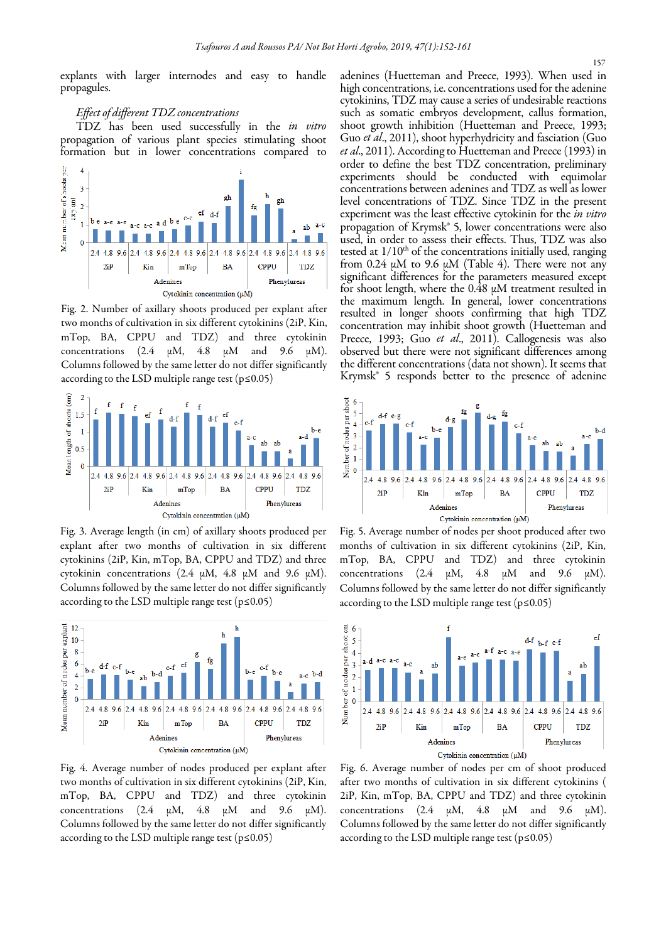explants with larger internodes and easy to handle propagules.

# Effect of different TDZ concentrations

TDZ has been used successfully in the in vitro propagation of various plant species stimulating shoot formation but in lower concentrations compared to



Fig. 2. Number of axillary shoots produced per explant after two months of cultivation in six different cytokinins (2iP, Kin, mTop, BA, CPPU and TDZ) and three cytokinin concentrations (2.4  $\mu$ M, 4.8  $\mu$ M and 9.6  $\mu$ M). Columns followed by the same letter do not differ significantly according to the LSD multiple range test ( $p \le 0.05$ )



Fig. 3. Average length (in cm) of axillary shoots produced per explant after two months of cultivation in six different cytokinins (2iP, Kin, mTop, BA, CPPU and TDZ) and three cytokinin concentrations (2.4 μΜ, 4.8 μΜ and 9.6 μΜ). Columns followed by the same letter do not differ significantly according to the LSD multiple range test ( $p \le 0.05$ )



Fig. 4. Average number of nodes produced per explant after two months of cultivation in six different cytokinins (2iP, Kin, mTop, BA, CPPU and TDZ) and three cytokinin concentrations (2.4  $\mu$ M, 4.8  $\mu$ M and 9.6  $\mu$ M). Columns followed by the same letter do not differ significantly according to the LSD multiple range test  $(p \le 0.05)$ 

adenines (Huetteman and Preece, 1993). When used in high concentrations, i.e. concentrations used for the adenine cytokinins, TDZ may cause a series of undesirable reactions such as somatic embryos development, callus formation, shoot growth inhibition (Huetteman and Preece, 1993; Guo et al., 2011), shoot hyperhydricity and fasciation (Guo et al., 2011). According to Huetteman and Preece (1993) in order to define the best TDZ concentration, preliminary experiments should be conducted with equimolar concentrations between adenines and TDZ as well as lower level concentrations of TDZ. Since TDZ in the present experiment was the least effective cytokinin for the in vitro propagation of Krymsk® 5, lower concentrations were also used, in order to assess their effects. Thus, TDZ was also tested at  $1/10<sup>th</sup>$  of the concentrations initially used, ranging from 0.24  $\mu$ M to 9.6  $\mu$ M (Table 4). There were not any significant differences for the parameters measured except for shoot length, where the 0.48 μΜ treatment resulted in the maximum length. In general, lower concentrations resulted in longer shoots confirming that high TDZ concentration may inhibit shoot growth (Huetteman and Preece, 1993; Guo et al., 2011). Callogenesis was also observed but there were not significant differences among the different concentrations (data not shown). It seems that Krymsk® 5 responds better to the presence of adenine



Fig. 5. Average number of nodes per shoot produced after two months of cultivation in six different cytokinins (2iP, Kin, mTop, BA, CPPU and TDZ) and three cytokinin concentrations (2.4  $\mu$ M, 4.8  $\mu$ M and 9.6  $\mu$ M). Columns followed by the sameletter do not differ significantly according to the LSD multiple range test ( $p \le 0.05$ )



Fig. 6. Average number of nodes per cm of shoot produced after two months of cultivation in six different cytokinins ( 2iP, Kin, mTop, BA, CPPU and TDZ) and three cytokinin concentrations (2.4  $\mu$ M, 4.8  $\mu$ M and 9.6  $\mu$ M). Columns followed by the same letter do not differ significantly according to the LSD multiple range test (p≤0.05)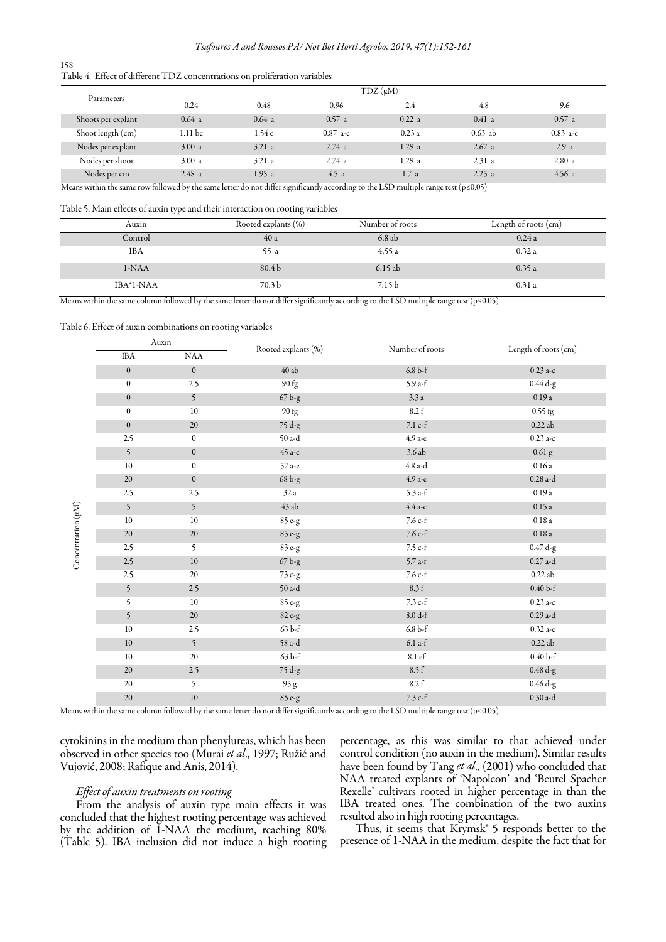| 158 |                                                                            |  |
|-----|----------------------------------------------------------------------------|--|
|     | Table 4. Effect of different TDZ concentrations on proliferation variables |  |

| Parameters                |                                          |                                    |            | $T DZ(\mu M)$      |                                   |            |
|---------------------------|------------------------------------------|------------------------------------|------------|--------------------|-----------------------------------|------------|
|                           | 0.24                                     | 0.48                               | 0.96       | 2.4                | 4.8                               | 9.6        |
| Shoots per explant        | 0.64a                                    | 0.64a                              | 0.57a      | 0.22 a             | $0.41$ a                          | 0.57a      |
| Shoot length (cm)         | 1.11 bc                                  | 1.54c                              | $0.87$ a-c | 0.23a              | $0.63$ ab                         | $0.83$ a-c |
| Nodes per explant         | 3.00 a                                   | 3.21a                              | 2.74a      | 1.29a              | 2.67a                             | 2.9a       |
| Nodes per shoot           | 3.00 a                                   | 3.21a                              | 2.74a      | 1.29a              | 2.31a                             | 2.80a      |
| Nodes per cm<br>.<br>$ -$ | 2.48a<br>$\overline{\phantom{a} \cdots}$ | 1.95 a<br>$\overline{\phantom{a}}$ | 4.5a       | 1.7a<br>--<br>---- | 2.25a<br>$\overline{\phantom{a}}$ | 4.56a      |

Means within the same row followed by the same letter do not differ significantly according to the LSD multiple range test (p≤0.05)

Table 5. Main effects of auxin type and their interaction on rooting variables

| Auxin      | Rooted explants (%) | Number of roots   | Length of roots (cm) |
|------------|---------------------|-------------------|----------------------|
| Control    | 40 a                | 6.8ab             | 0.24a                |
| <b>IBA</b> | 55 a                | 4.55a             | 0.32a                |
| $1-NAA$    | 80.4 <sub>b</sub>   | 6.15ab            | 0.35a                |
| IBA*1-NAA  | 70.3 <sub>b</sub>   | 7.15 <sub>b</sub> | 0.31a                |

Means within the same column followed by the same letter do not differ significantly according to the LSD multiple range test ( $p \le 0.05$ )

Table 6. Effect of auxin combinations on rooting variables

|                    | Auxin            |                  | Rooted explants (%)                | Number of roots | Length of roots (cm) |
|--------------------|------------------|------------------|------------------------------------|-----------------|----------------------|
|                    | <b>IBA</b>       | <b>NAA</b>       |                                    |                 |                      |
|                    | $\boldsymbol{0}$ | $\boldsymbol{0}$ | $40$ ab                            | $6.8b-f$        | $0.23$ a-c           |
|                    | $\boldsymbol{0}$ | 2.5              | 90 fg                              | $5.9a-f$        | 0.44 d-g             |
|                    | $\boldsymbol{0}$ | 5                | 67 <sub>bg</sub>                   | 3.3a            | 0.19a                |
|                    | $\boldsymbol{0}$ | 10               | 90 fg                              | 8.2 f           | $0.55$ fg            |
|                    | $\boldsymbol{0}$ | 20               | 75 d-g                             | 7.1 c-f         | $0.22$ ab            |
|                    | 2.5              | $\boldsymbol{0}$ | 50 a-d                             | 4.9 а-е         | $0.23a-c$            |
|                    | 5                | $\mathbf{0}$     | 45 а-с                             | 3.6 ab          | $0.61$ g             |
|                    | 10               | $\mathbf{0}$     | 57 а-е                             | 4.8 a-d         | 0.16a                |
|                    | 20               | $\boldsymbol{0}$ | $68$ b-g $\,$                      | 4.9 а-е         | $0.28$ a-d           |
|                    | 2.5              | 2.5              | 32 a                               | $5.3$ a-f       | 0.19a                |
|                    | 5                | 5                | 43 ab                              | $4.4$ а-с       | 0.15a                |
| Concentration (µM) | 10               | 10               | 85 e-g                             | $7.6 c-f$       | $0.18a$              |
|                    | 20               | 20               | 85 e-g                             | $7.6c-f$        | 0.18a                |
|                    | 2.5              | 5                | 83 e-g                             | 7.5 c-f         | $0.47 d-g$           |
|                    | 2.5              | 10               | $67\,\mathrm{b}\text{-}\mathrm{g}$ | $5.7$ a-f       | $0.27$ a-d           |
|                    | 2.5              | 20               | 73 c-g                             | $7.6 c-f$       | 0.22ab               |
|                    | 5                | 2.5              | 50 a-d                             | 8.3 f           | $0.40b-f$            |
|                    | 5                | 10               | 85 e-g                             | $7.3 c-f$       | $0.23a-c$            |
|                    | 5                | 20               | 82 e-g                             | $8.0 d-f$       | $0.29$ a-d           |
|                    | 10               | 2.5              | 63 b-f                             | $6.8b-f$        | $0.32a-e$            |
|                    | 10               | 5                | 58 a-d                             | $6.1$ a-f       | $0.22$ ab            |
|                    | 10               | 20               | $63b$ -f                           | 8.1 ef          | $0.40b-f$            |
|                    | 20               | 2.5              | 75 d-g                             | 8.5 f           | $0.48 d-g$           |
|                    | 20               | 5                | 95 g                               | 8.2 f           | 0.46 d-g             |
|                    | 20               | $10\,$           | $85\,\mathrm{e}\textrm{-g}$        | 7.3 c-f         | $0.30$ a-d           |

Means within the same column followed by the same letter do not differ significantlyaccording to the LSD multiple range test (p≤0.05)

cytokinins in the medium than phenylureas, which has been observed in other species too (Murai et al., 1997; Ružić and Vujović, 2008; Rafique and Anis, 2014).

## Effect of auxin treatments on rooting

From the analysis of auxin type main effects it was concluded that the highest rooting percentage was achieved by the addition of 1-NAA the medium, reaching 80% (Table 5). IBA inclusion did not induce a high rooting percentage, as this was similar to that achieved under control condition (no auxin in the medium). Similar results have been found by Tang et al., (2001) who concluded that NAA treated explants of 'Napoleon' and 'Beutel Spacher Rexelle' cultivars rooted in higher percentage in than the IBA treated ones. The combination of the two auxins resulted also in high rooting percentages.

Thus, it seems that Krymsk® 5 responds better to the presence of 1-NAA in the medium, despite the fact that for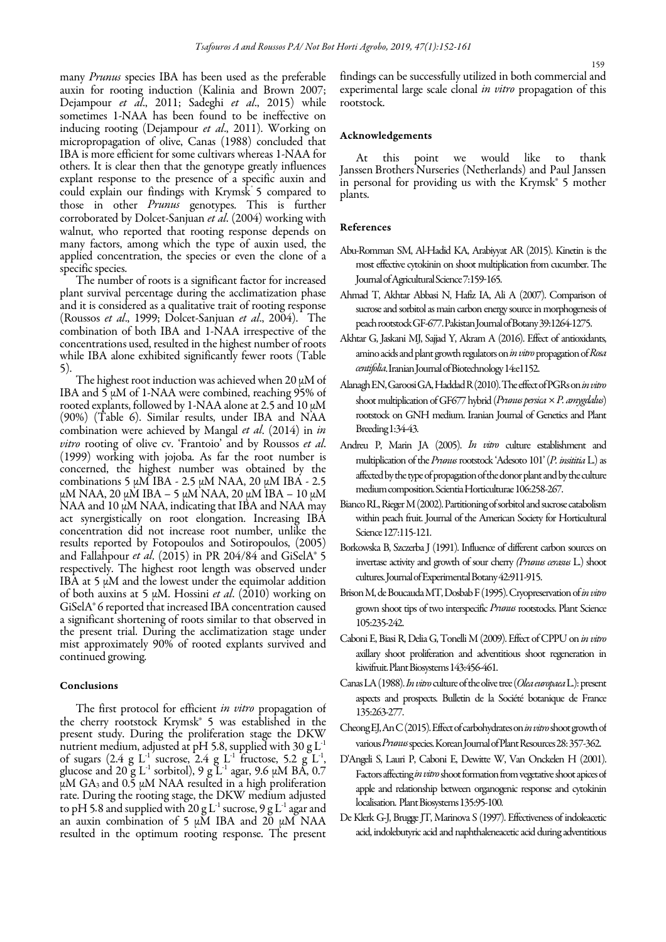many *Prunus* species IBA has been used as the preferable auxin for rooting induction (Kalinia and Brown 2007; Dejampour et al., 2011; Sadeghi et al., 2015) while sometimes 1-NAA has been found to be ineffective on inducing rooting (Dejampour et al., 2011). Working on micropropagation of olive, Canas (1988) concluded that IBA is more efficient for some cultivars whereas 1-NAA for others. It is clear then that the genotype greatly influences explant response to the presence of a specific auxin and could explain our findings with Krymsk<sup>5</sup> compared to those in other Prunus genotypes. This is further corroborated by Dolcet-Sanjuan et al. (2004) working with walnut, who reported that rooting response depends on many factors, among which the type of auxin used, the applied concentration, the species or even the clone of a specific species.

The number of roots is a significant factor for increased plant survival percentage during the acclimatization phase and it is considered as a qualitative trait of rooting response (Roussos et al., 1999; Dolcet-Sanjuan et al., 2004). The combination of both IBA and 1-NAA irrespective of the concentrations used, resulted in the highest number of roots while IBA alone exhibited significantly fewer roots (Table 5).

The highest root induction was achieved when 20 μΜ of IBA and  $5 \mu$ M of 1-NAA were combined, reaching 95% of rooted explants, followed by 1-NAA alone at 2.5 and 10 μM (90%) (Table 6). Similar results, under IBA and NAA combination were achieved by Mangal et al. (2014) in in vitro rooting of olive cv. 'Frantoio' and by Roussos et al. (1999) working with jojoba. As far the root number is concerned, the highest number was obtained by the combinations 5 μΜ IBA - 2.5 μΜ NAA, 20 μΜ IBA - 2.5 μΜ NAA, 20 μΜ IBA – 5 μΜ NAA, 20 μΜ IBA – 10 μΜ NAA and 10 μΜ NAA, indicating that IBA and NAA may act synergistically on root elongation. Increasing IBA concentration did not increase root number, unlike the results reported by Fotopoulos and Sotiropoulos, (2005) and Fallahpour et al. (2015) in PR 204/84 and GiSelA $\degree$ 5 respectively. The highest root length was observed under IBA at 5 μΜ and the lowest under the equimolar addition of both auxins at 5  $\mu$ M. Hossini *et al.* (2010) working on GiSelA® 6 reported that increased IBA concentration caused a significant shortening of roots similar to that observed in the present trial. During the acclimatization stage under mist approximately 90% of rooted explants survived and continued growing.

#### Conclusions

The first protocol for efficient in vitro propagation of the cherry rootstock Krymsk® 5 was established in the present study. During the proliferation stage the DKW nutrient medium, adjusted at pH 5.8, supplied with 30 g  $\mathrm{L}^{\text{-}1}$ of sugars  $(2.4 \text{ g L}^{-1})$  sucrose,  $2.4 \text{ g L}^{-1}$  fructose,  $5.2 \text{ g L}^{-1}$ , glucose and 20 g L<sup>-1</sup> sorbitol), 9 g L<sup>-1</sup> agar, 9.6 μM BA, 0.7 μΜ GA3 and 0.5 μΜ NAA resulted in a high proliferation rate. During the rooting stage, the DKW medium adjusted to pH 5.8 and supplied with 20 g L<sup>-1</sup> sucrose, 9 g L<sup>-1</sup> agar and an auxin combination of 5 μM IBA and 20 μM NAA resulted in the optimum rooting response. The present

findings can be successfully utilized in both commercial and experimental large scale clonal *in vitro* propagation of this rootstock.

# Acknowledgements

At this point we would like to thank Janssen Brothers Nurseries (Netherlands) and Paul Janssen in personal for providing us with the Krymsk® 5 mother plants.

# References

- Abu-Romman SM, Al-Hadid KA, Arabiyyat AR (2015). Kinetin is the most effective cytokinin on shoot multiplication from cucumber. The Journal of Agricultural Science 7:159-165.
- Ahmad T, Akhtar Abbasi N, Hafiz IA, Ali A (2007). Comparison of sucrose and sorbitol as main carbon energy source in morphogenesis of peach rootstock GF-677. Pakistan Journal of Botany 39:1264-1275.
- Akhtar G, Jaskani MJ, Sajjad Y, Akram A (2016). Effect of antioxidants, amino acids and plant growth regulators on in vitro propagation of Rosa centifolia. Iranian Journal of Biotechnology 14:e1152.
- Alanagh EN, Garoosi GA, Haddad R (2010). The effect of PGRs on in vitro shoot multiplication of GF677 hybrid (Prunus persica  $\times$  P. amygdalus) rootstock on GNH medium. Iranian Journal of Genetics and Plant Breeding 1:34-43.
- Andreu P, Marin JA (2005). In vitro culture establishment and multiplication of the Prunus rootstock 'Adesoto 101' (P. insititia L.) as affected by the type of propagation of the donor plant and by the culture medium composition. Scientia Horticulturae 106:258-267.
- Bianco RL, Rieger M (2002). Partitioning of sorbitol and sucrose catabolism within peach fruit. Journal of the American Society for Horticultural Science 127:115-121.
- Borkowska B, Szczerba J (1991). Influence of different carbon sources on invertase activity and growth of sour cherry (Prunus cerasus L.) shoot cultures. Journal of Experimental Botany 42:911-915.
- Brison M, de Boucauda MT, Dosbab F (1995). Cryopreservation of in vitro grown shoot tips of two interspecific Prunus rootstocks. Plant Science 105:235-242.
- Caboni E, Biasi R, Delia G, Tonelli M (2009). Effect of CPPU on in vitro axillary shoot proliferation and adventitious shoot regeneration in kiwifruit. Plant Biosystems 143:456-461.
- Canas LA (1988). *In vitro* culture of the olive tree (Olea europaea L.): present aspects and prospects. Bulletin de la Société botanique de France 135:263-277.
- Cheong EJ, An C (2015). Effect of carbohydrates on in vitro shoot growth of various Prunus species. Korean Journal of Plant Resources 28: 357-362.
- D'Angeli S, Lauri P, Caboni E, Dewitte W, Van Onckelen H (2001). Factors affecting in vitro shoot formation from vegetative shoot apices of apple and relationship between organogenic response and cytokinin localisation. Plant Biosystems 135:95-100.
- De Klerk G-J, Brugge JT, Marinova S (1997). Effectiveness of indoleacetic acid, indolebutyric acid and naphthaleneacetic acid during adventitious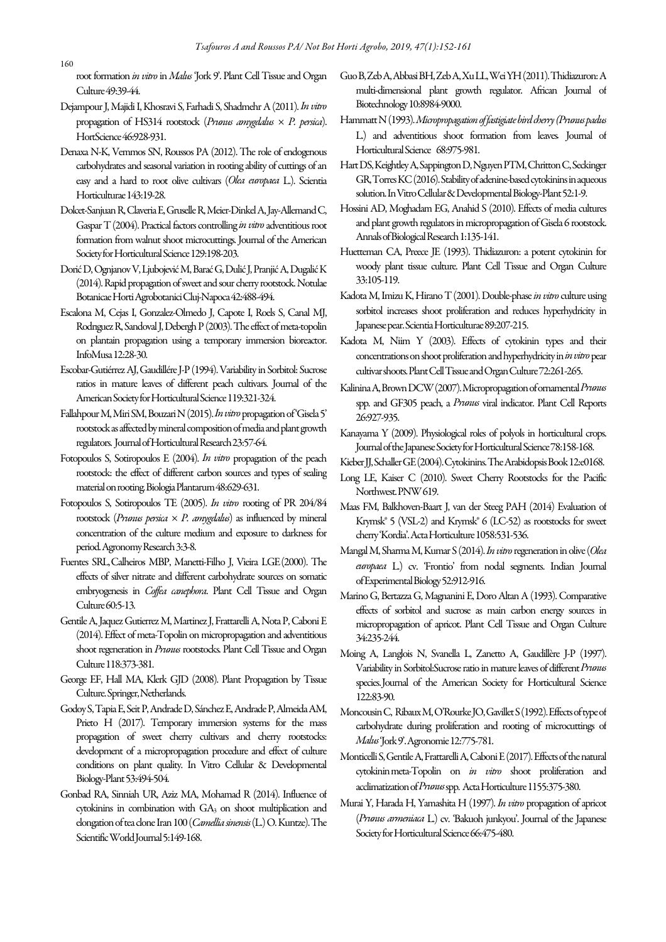root formation in vitro in Malus 'Jork 9'. Plant Cell Tissue and Organ Culture 49:39-44.

- Dejampour J, Majidi I, Khosravi S, Farhadi S, Shadmehr A (2011). In vitro propagation of HS314 rootstock (Prunus amygdalus  $\times$  P. persica). HortScience 46:928-931.
- Denaxa N-K, Vemmos SN, Roussos PA (2012). The role of endogenous carbohydrates and seasonal variation in rooting ability of cuttings of an easy and a hard to root olive cultivars (Olea europaea L.). Scientia Horticulturae 143:19-28.
- Dolcet-Sanjuan R, Claveria E, Gruselle R, Meier-Dinkel A, Jay-Allemand C, Gaspar T (2004). Practical factors controlling in vitro adventitious root formation from walnut shoot microcuttings. Journal of the American Society for Horticultural Science 129:198-203.
- Dorić D, Ognjanov V, Ljubojević M, Barać G, Dulić J, Pranjić A, Dugalić K (2014). Rapid propagation of sweet and sour cherry rootstock. Notulae Botanicae Horti Agrobotanici Cluj-Napoca 42:488-494.
- Escalona M, Cejas I, Gonzalez-Olmedo J, Capote I, Roels S, Canal MJ, Rodrıguez R, Sandoval J, Debergh P (2003). The effect of meta-topolin on plantain propagation using a temporary immersion bioreactor. InfoMusa 12:28-30.
- Escobar-Gutiérrez AJ, Gaudillére J-P (1994). Variability in Sorbitol: Sucrose ratios in mature leaves of different peach cultivars. Journal of the American Society for Horticultural Science 119:321-324.
- Fallahpour M, Miri SM, Bouzari N (2015). In vitro propagation of 'Gisela 5' rootstock as affected by mineral composition of media and plant growth regulators. Journal of Horticultural Research 23:57-64.
- Fotopoulos S, Sotiropoulos E (2004). In vitro propagation of the peach rootstock: the effect of different carbon sources and types of sealing material on rooting. Biologia Plantarum 48:629-631.
- Fotopoulos S, Sotiropoulos TE (2005). In vitro rooting of PR 204/84 rootstock (Prunus persica  $\times$  P. amygdalus) as influenced by mineral concentration of the culture medium and exposure to darkness for period. Agronomy Research 3:3-8.
- Fuentes SRL, Calheiros MBP, Manetti-Filho J, Vieira LGE (2000). The effects of silver nitrate and different carbohydrate sources on somatic embryogenesis in Coffea canephora. Plant Cell Tissue and Organ Culture 60:5-13.
- Gentile A, Jaquez Gutierrez M, Martinez J, Frattarelli A, Nota P, Caboni E (2014). Effect of meta-Topolin on micropropagation and adventitious shoot regeneration in *Prunus* rootstocks. Plant Cell Tissue and Organ Culture 118:373-381.
- George EF, Hall MA, Klerk GJD (2008). Plant Propagation by Tissue Culture. Springer, Netherlands.
- Godoy S, Tapia E, Seit P, Andrade D, Sánchez E, Andrade P, Almeida AM, Prieto H (2017). Temporary immersion systems for the mass propagation of sweet cherry cultivars and cherry rootstocks: development of a micropropagation procedure and effect of culture conditions on plant quality. In Vitro Cellular & Developmental Biology-Plant 53:494-504.
- Gonbad RA, Sinniah UR, Aziz MA, Mohamad R (2014). Influence of cytokinins in combination with  $GA_3$  on shoot multiplication and elongation of tea clone Iran 100 (Camellia sinensis (L.) O. Kuntze). The Scientific World Journal 5:149-168.
- Guo B, Zeb A, Abbasi BH, Zeb A, Xu LL, Wei YH (2011). Thidiazuron: A multi-dimensional plant growth regulator. African Journal of Biotechnology 10:8984-9000.
- Hammatt N (1993). Micropropagation of fastigiate bird cherry (Prunus padus L.) and adventitious shoot formation from leaves. Journal of Horticultural Science 68:975-981.
- Hart DS, Keightley A, Sappington D, Nguyen PTM, Chritton C, Seckinger GR, Torres KC (2016). Stability of adenine-based cytokinins in aqueous solution. In Vitro Cellular & Developmental Biology-Plant 52:1-9.
- Hossini AD, Moghadam EG, Anahid S (2010). Effects of media cultures and plant growth regulators in micropropagation of Gisela 6 rootstock. Annals of Biological Research 1:135-141.
- Huetteman CA, Preece JE (1993). Thidiazuron: a potent cytokinin for woody plant tissue culture. Plant Cell Tissue and Organ Culture 33:105-119.
- Kadota M, Imizu K, Hirano T (2001). Double-phase in vitro culture using sorbitol increases shoot proliferation and reduces hyperhydricity in Japanese pear. Scientia Horticulturae 89:207-215.
- Kadota M, Niim Y (2003). Effects of cytokinin types and their concentrations on shoot proliferation and hyperhydricity in *in vitro* pear cultivar shoots. Plant Cell Tissue and Organ Culture 72:261-265.
- Kalinina A, Brown DCW (2007). Micropropagation of ornamental Prunus spp. and GF305 peach, a Prunus viral indicator. Plant Cell Reports 26:927-935.
- Kanayama Y (2009). Physiological roles of polyols in horticultural crops. Journal of the Japanese Society for Horticultural Science 78:158-168.
- Kieber JJ, Schaller GE (2004). Cytokinins. The Arabidopsis Book 12:e0168.
- Long LE, Kaiser C (2010). Sweet Cherry Rootstocks for the Pacific Northwest. PNW 619.
- Maas FM, Balkhoven-Baart J, van der Steeg PAH (2014) Evaluation of Κrymsk® 5 (VSL-2) and Krymsk® 6 (LC-52) as rootstocks for sweet cherry 'Kordia'. Acta Horticulture 1058:531-536.
- Mangal M, Sharma M, Kumar S (2014). In vitro regeneration in olive (Olea europaea L.) cv. 'Frontio' from nodal segments. Indian Journal of Experimental Biology 52:912-916.
- Marino G, Bertazza G, Magnanini E, Doro Altan A (1993). Comparative effects of sorbitol and sucrose as main carbon energy sources in micropropagation of apricot. Plant Cell Tissue and Organ Culture 34:235-244.
- Moing A, Langlois N, Svanella L, Zanetto A, Gaudillère J-P (1997). Variability in Sorbitol:Sucrose ratio in mature leaves of different Prunus species. Journal of the American Society for Horticultural Science 122:83-90.
- Moncousin C, Ribaux M, O'Rourke JO, Gavillet S (1992). Effects of type of carbohydrate during proliferation and rooting of microcuttings of Malus 'Jork 9'. Agronomie 12:775-781.
- Monticelli S, Gentile A, Frattarelli A, Caboni E (2017). Effects of the natural cytokinin meta-Topolin on in vitro shoot proliferation and acclimatization of Prunus spp. Acta Horticulture 1155:375-380.
- Murai Y, Harada H, Yamashita H (1997). In vitro propagation of apricot (Prunus armeniaca L.) cv. 'Bakuoh junkyou'. Journal of the Japanese Society for Horticultural Science 66:475-480.

160